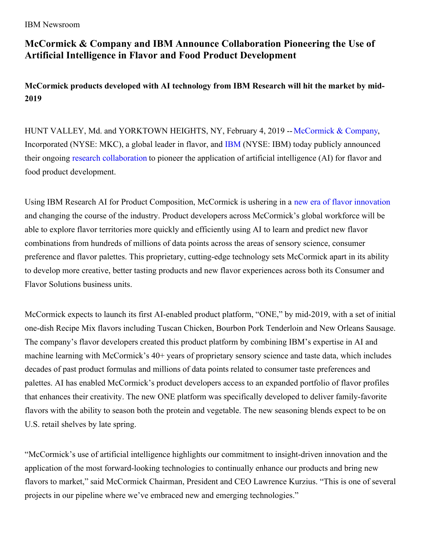IBM Newsroom

## **McCormick & Company and IBM Announce Collaboration Pioneering the Use of Artificial Intelligence in Flavor and Food Product Development**

**McCormick products developed with AI technology from IBM Research will hit the market by mid-2019**

HUNT VALLEY, Md. and YORKTOWN HEIGHTS, NY, February 4, 2019 -- [McCormick](https://www.mccormick.com/) & Company, Incorporated (NYSE: MKC), a global leader in flavor, and [IBM](https://www.ibm.com/) (NYSE: IBM) today publicly announced their ongoing research [collaboration](http://www.research.ibm.com/) to pioneer the application of artificial intelligence (AI) for flavor and food product development.

Using IBM Research AI for Product Composition, McCormick is ushering in a new era of flavor [innovation](http://ibm.com/blogs/research/2019/02/ai-new-flavor-experiences/) and changing the course of the industry. Product developers across McCormick's global workforce will be able to explore flavor territories more quickly and efficiently using AI to learn and predict new flavor combinations from hundreds of millions of data points across the areas of sensory science, consumer preference and flavor palettes. This proprietary, cutting-edge technology sets McCormick apart in its ability to develop more creative, better tasting products and new flavor experiences across both its Consumer and Flavor Solutions business units.

McCormick expects to launch its first AI-enabled product platform, "ONE," by mid-2019, with a set of initial one-dish Recipe Mix flavors including Tuscan Chicken, Bourbon Pork Tenderloin and New Orleans Sausage. The company's flavor developers created this product platform by combining IBM's expertise in AI and machine learning with McCormick's 40+ years of proprietary sensory science and taste data, which includes decades of past product formulas and millions of data points related to consumer taste preferences and palettes. AI has enabled McCormick's product developers access to an expanded portfolio of flavor profiles that enhances their creativity. The new ONE platform was specifically developed to deliver family-favorite flavors with the ability to season both the protein and vegetable. The new seasoning blends expect to be on U.S. retail shelves by late spring.

"McCormick's use of artificial intelligence highlights our commitment to insight-driven innovation and the application of the most forward-looking technologies to continually enhance our products and bring new flavors to market," said McCormick Chairman, President and CEO Lawrence Kurzius. "This is one of several projects in our pipeline where we've embraced new and emerging technologies."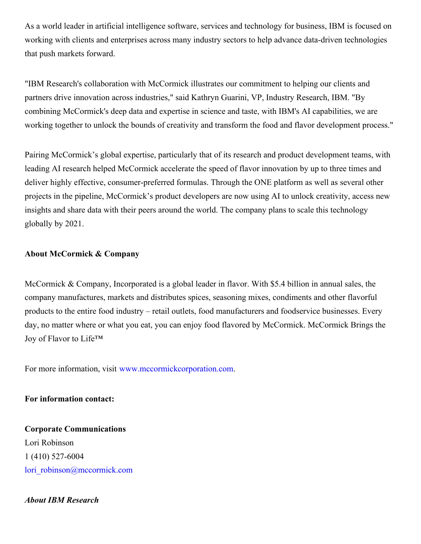As a world leader in artificial intelligence software, services and technology for business, IBM is focused on working with clients and enterprises across many industry sectors to help advance data-driven technologies that push markets forward.

"IBM Research's collaboration with McCormick illustrates our commitment to helping our clients and partners drive innovation across industries," said Kathryn Guarini, VP, Industry Research, IBM. "By combining McCormick's deep data and expertise in science and taste, with IBM's AI capabilities, we are working together to unlock the bounds of creativity and transform the food and flavor development process."

Pairing McCormick's global expertise, particularly that of its research and product development teams, with leading AI research helped McCormick accelerate the speed of flavor innovation by up to three times and deliver highly effective, consumer-preferred formulas. Through the ONE platform as well as several other projects in the pipeline, McCormick's product developers are now using AI to unlock creativity, access new insights and share data with their peers around the world. The company plans to scale this technology globally by 2021.

## **About McCormick & Company**

McCormick & Company, Incorporated is a global leader in flavor. With \$5.4 billion in annual sales, the company manufactures, markets and distributes spices, seasoning mixes, condiments and other flavorful products to the entire food industry – retail outlets, food manufacturers and foodservice businesses. Every day, no matter where or what you eat, you can enjoy food flavored by McCormick. McCormick Brings the Joy of Flavor to Life™

For more information, visit [www.mccormickcorporation.com](http://www.mccormickcorporation.com).

**For information contact:**

**Corporate Communications** Lori Robinson 1 (410) 527-6004 [lori\\_robinson@mccormick.com](mailto:lori_robinson@mccormick.com)

## *About IBM Research*